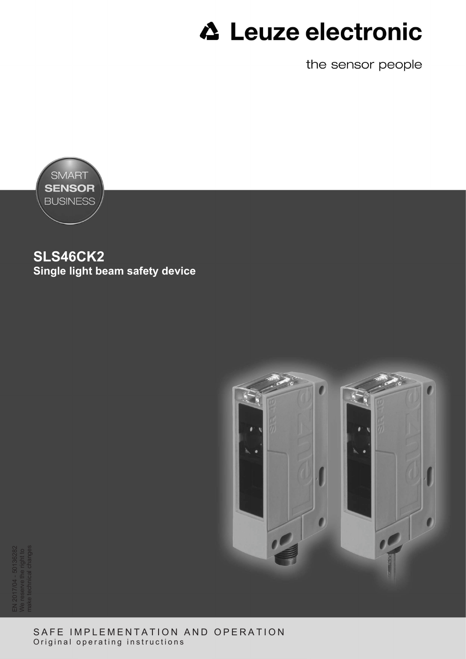the sensor people



**SLS46CK2 Single light beam safety device**



EN 2017/04 - 50136282 We reserve the right to make technical changes

> SAFE IMPLEMENTATION AND OPERATION Original operating instructions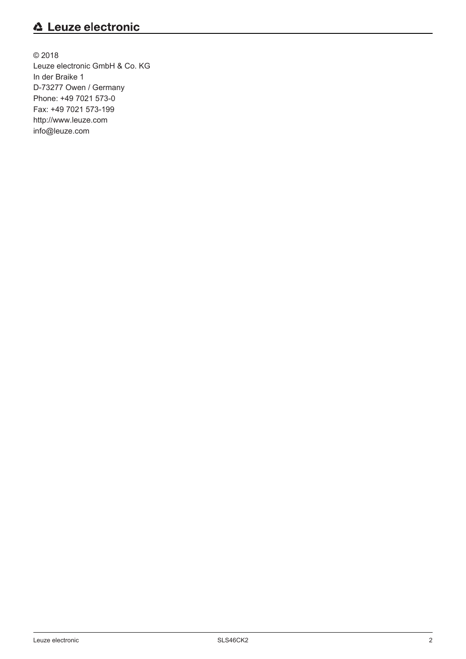© 2018 Leuze electronic GmbH & Co. KG In der Braike 1 D-73277 Owen / Germany Phone: +49 7021 573-0 Fax: +49 7021 573-199 http://www.leuze.com info@leuze.com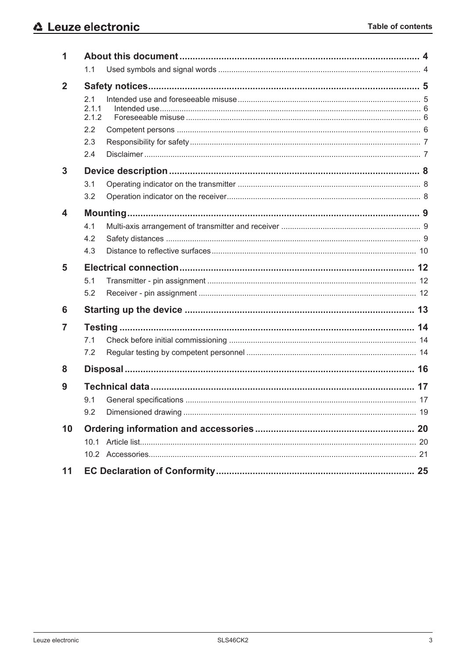| 1            |                       |  |    |  |  |
|--------------|-----------------------|--|----|--|--|
|              | 1.1                   |  |    |  |  |
| $\mathbf{2}$ |                       |  |    |  |  |
|              | 2.1<br>2.1.1<br>2.1.2 |  |    |  |  |
|              | 2.2                   |  |    |  |  |
|              | 2.3                   |  |    |  |  |
|              | 2.4                   |  |    |  |  |
| 3            |                       |  |    |  |  |
|              | 3.1                   |  |    |  |  |
|              | 3.2                   |  |    |  |  |
| 4            |                       |  |    |  |  |
|              | 4.1                   |  |    |  |  |
|              | 4.2                   |  |    |  |  |
|              | 4.3                   |  |    |  |  |
| 5            |                       |  |    |  |  |
|              | 5.1                   |  |    |  |  |
|              | 5.2                   |  |    |  |  |
| 6            |                       |  |    |  |  |
| 7            |                       |  |    |  |  |
|              | 7.1                   |  |    |  |  |
|              | 7.2                   |  |    |  |  |
| 8            |                       |  |    |  |  |
|              |                       |  | 17 |  |  |
| 9            |                       |  |    |  |  |
|              | 9.2                   |  |    |  |  |
| 10           |                       |  |    |  |  |
|              |                       |  |    |  |  |
|              |                       |  |    |  |  |
| 11           |                       |  |    |  |  |
|              |                       |  |    |  |  |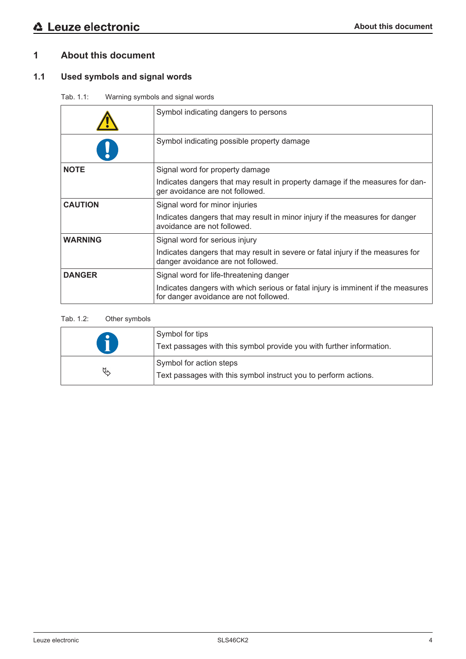# **1 About this document**

# **1.1 Used symbols and signal words**

Tab. 1.1: Warning symbols and signal words

|                | Symbol indicating dangers to persons                                                                                       |
|----------------|----------------------------------------------------------------------------------------------------------------------------|
|                | Symbol indicating possible property damage                                                                                 |
| <b>NOTE</b>    | Signal word for property damage                                                                                            |
|                | Indicates dangers that may result in property damage if the measures for dan-<br>ger avoidance are not followed.           |
| <b>CAUTION</b> | Signal word for minor injuries                                                                                             |
|                | Indicates dangers that may result in minor injury if the measures for danger<br>avoidance are not followed.                |
| <b>WARNING</b> | Signal word for serious injury                                                                                             |
|                | Indicates dangers that may result in severe or fatal injury if the measures for<br>danger avoidance are not followed.      |
| <b>DANGER</b>  | Signal word for life-threatening danger                                                                                    |
|                | Indicates dangers with which serious or fatal injury is imminent if the measures<br>for danger avoidance are not followed. |

#### Tab. 1.2: Other symbols

|    | Symbol for tips<br>Text passages with this symbol provide you with further information.    |
|----|--------------------------------------------------------------------------------------------|
| A, | Symbol for action steps<br>Text passages with this symbol instruct you to perform actions. |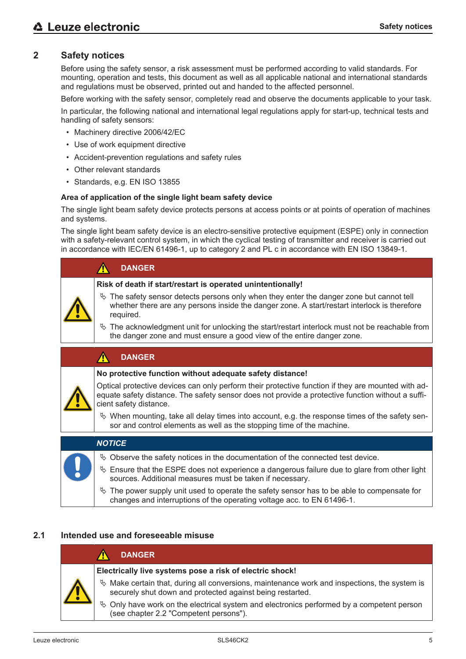# **2 Safety notices**

Before using the safety sensor, a risk assessment must be performed according to valid standards. For mounting, operation and tests, this document as well as all applicable national and international standards and regulations must be observed, printed out and handed to the affected personnel.

Before working with the safety sensor, completely read and observe the documents applicable to your task.

In particular, the following national and international legal regulations apply for start-up, technical tests and handling of safety sensors:

- Machinery directive 2006/42/EC
- Use of work equipment directive
- Accident-prevention regulations and safety rules
- Other relevant standards
- Standards, e.g. EN ISO 13855

#### **Area of application of the single light beam safety device**

The single light beam safety device protects persons at access points or at points of operation of machines and systems.

The single light beam safety device is an electro-sensitive protective equipment (ESPE) only in connection with a safety-relevant control system, in which the cyclical testing of transmitter and receiver is carried out in accordance with IEC/EN 61496-1, up to category 2 and PL c in accordance with EN ISO 13849-1.

| <b>DANGER</b>                                                                                                                                                                                            |
|----------------------------------------------------------------------------------------------------------------------------------------------------------------------------------------------------------|
| Risk of death if start/restart is operated unintentionally!                                                                                                                                              |
| $\&$ The safety sensor detects persons only when they enter the danger zone but cannot tell<br>whether there are any persons inside the danger zone. A start/restart interlock is therefore<br>required. |
| $\&$ The acknowledgment unit for unlocking the start/restart interlock must not be reachable from<br>the danger zone and must ensure a good view of the entire danger zone.                              |
|                                                                                                                                                                                                          |

#### **DANGER**  $\Lambda$

#### **No protective function without adequate safety distance!**

Optical protective devices can only perform their protective function if they are mounted with adequate safety distance. The safety sensor does not provide a protective function without a sufficient safety distance.

 $\&$  When mounting, take all delay times into account, e.g. the response times of the safety sensor and control elements as well as the stopping time of the machine.

| <b>NOTICE</b>                                                                                                                                                           |
|-------------------------------------------------------------------------------------------------------------------------------------------------------------------------|
| $\&$ Observe the safety notices in the documentation of the connected test device.                                                                                      |
| $\&$ Ensure that the ESPE does not experience a dangerous failure due to glare from other light<br>sources. Additional measures must be taken if necessary.             |
| $\&$ The power supply unit used to operate the safety sensor has to be able to compensate for<br>changes and interruptions of the operating voltage acc. to EN 61496-1. |

# **2.1 Intended use and foreseeable misuse**

| <b>DANGER</b>                                                                                                                                                |
|--------------------------------------------------------------------------------------------------------------------------------------------------------------|
| Electrically live systems pose a risk of electric shock!                                                                                                     |
| $\&$ Make certain that, during all conversions, maintenance work and inspections, the system is<br>securely shut down and protected against being restarted. |
| $\&$ Only have work on the electrical system and electronics performed by a competent person<br>(see chapter 2.2 "Competent persons").                       |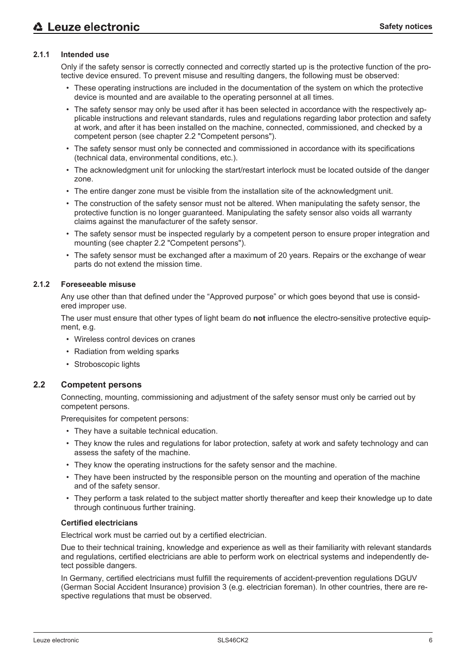#### **2.1.1 Intended use**

Only if the safety sensor is correctly connected and correctly started up is the protective function of the protective device ensured. To prevent misuse and resulting dangers, the following must be observed:

- These operating instructions are included in the documentation of the system on which the protective device is mounted and are available to the operating personnel at all times.
- The safety sensor may only be used after it has been selected in accordance with the respectively applicable instructions and relevant standards, rules and regulations regarding labor protection and safety at work, and after it has been installed on the machine, connected, commissioned, and checked by a competent person (see chapter 2.2 "Competent persons").
- The safety sensor must only be connected and commissioned in accordance with its specifications (technical data, environmental conditions, etc.).
- The acknowledgment unit for unlocking the start/restart interlock must be located outside of the danger zone.
- The entire danger zone must be visible from the installation site of the acknowledgment unit.
- The construction of the safety sensor must not be altered. When manipulating the safety sensor, the protective function is no longer guaranteed. Manipulating the safety sensor also voids all warranty claims against the manufacturer of the safety sensor.
- The safety sensor must be inspected regularly by a competent person to ensure proper integration and mounting (see chapter 2.2 "Competent persons").
- The safety sensor must be exchanged after a maximum of 20 years. Repairs or the exchange of wear parts do not extend the mission time.

#### **2.1.2 Foreseeable misuse**

Any use other than that defined under the "Approved purpose" or which goes beyond that use is considered improper use.

The user must ensure that other types of light beam do **not** influence the electro-sensitive protective equipment, e.g.

- Wireless control devices on cranes
- Radiation from welding sparks
- Stroboscopic lights

#### **2.2 Competent persons**

Connecting, mounting, commissioning and adjustment of the safety sensor must only be carried out by competent persons.

Prerequisites for competent persons:

- They have a suitable technical education.
- They know the rules and regulations for labor protection, safety at work and safety technology and can assess the safety of the machine.
- They know the operating instructions for the safety sensor and the machine.
- They have been instructed by the responsible person on the mounting and operation of the machine and of the safety sensor.
- They perform a task related to the subject matter shortly thereafter and keep their knowledge up to date through continuous further training.

#### **Certified electricians**

Electrical work must be carried out by a certified electrician.

Due to their technical training, knowledge and experience as well as their familiarity with relevant standards and regulations, certified electricians are able to perform work on electrical systems and independently detect possible dangers.

In Germany, certified electricians must fulfill the requirements of accident-prevention regulations DGUV (German Social Accident Insurance) provision 3 (e.g. electrician foreman). In other countries, there are respective regulations that must be observed.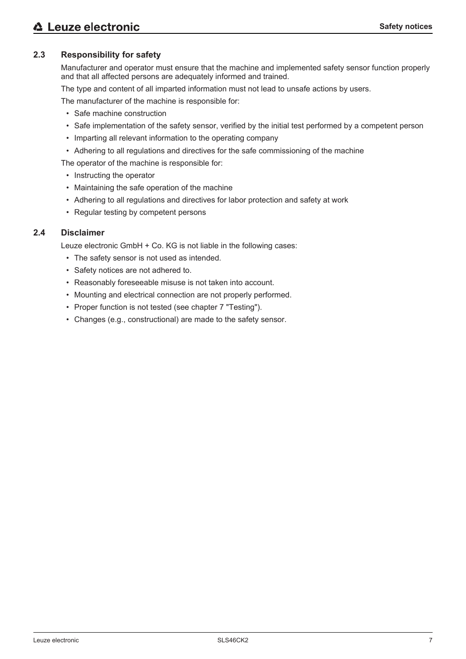# **2.3 Responsibility for safety**

Manufacturer and operator must ensure that the machine and implemented safety sensor function properly and that all affected persons are adequately informed and trained.

The type and content of all imparted information must not lead to unsafe actions by users.

The manufacturer of the machine is responsible for:

- Safe machine construction
- Safe implementation of the safety sensor, verified by the initial test performed by a competent person
- Imparting all relevant information to the operating company
- Adhering to all regulations and directives for the safe commissioning of the machine
- The operator of the machine is responsible for:
	- Instructing the operator
	- Maintaining the safe operation of the machine
	- Adhering to all regulations and directives for labor protection and safety at work
	- Regular testing by competent persons

#### **2.4 Disclaimer**

Leuze electronic GmbH + Co. KG is not liable in the following cases:

- The safety sensor is not used as intended.
- Safety notices are not adhered to.
- Reasonably foreseeable misuse is not taken into account.
- Mounting and electrical connection are not properly performed.
- Proper function is not tested (see chapter 7 "Testing").
- Changes (e.g., constructional) are made to the safety sensor.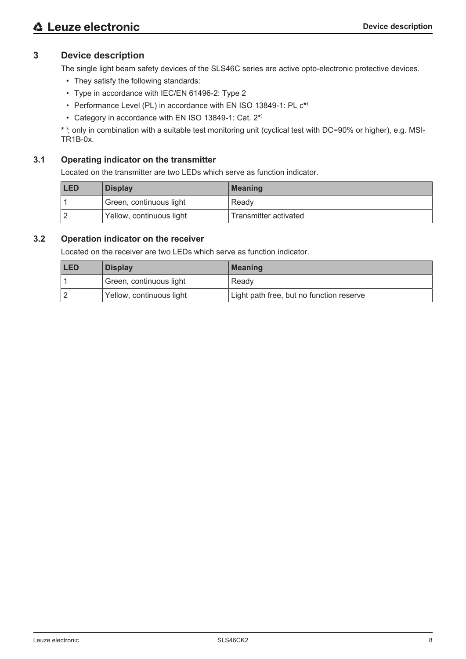# **3 Device description**

The single light beam safety devices of the SLS46C series are active opto-electronic protective devices.

- They satisfy the following standards:
- Type in accordance with IEC/EN 61496-2: Type 2
- Performance Level (PL) in accordance with EN ISO 13849-1: PL c**\*** )
- Category in accordance with EN ISO 13849-1: Cat. 2**\*** )

**\*** ) : only in combination with a suitable test monitoring unit (cyclical test with DC=90% or higher), e.g. MSI-TR1B-0x.

# **3.1 Operating indicator on the transmitter**

Located on the transmitter are two LEDs which serve as function indicator.

| <b>LED</b><br><b>Display</b> |                          | <b>Meaning</b>        |
|------------------------------|--------------------------|-----------------------|
|                              | Green, continuous light  | Ready                 |
|                              | Yellow, continuous light | Transmitter activated |

# **3.2 Operation indicator on the receiver**

Located on the receiver are two LEDs which serve as function indicator.

| <b>LED</b> | <b>Display</b>           | ∣Meaning                                 |
|------------|--------------------------|------------------------------------------|
|            | Green, continuous light  | Ready                                    |
|            | Yellow, continuous light | Light path free, but no function reserve |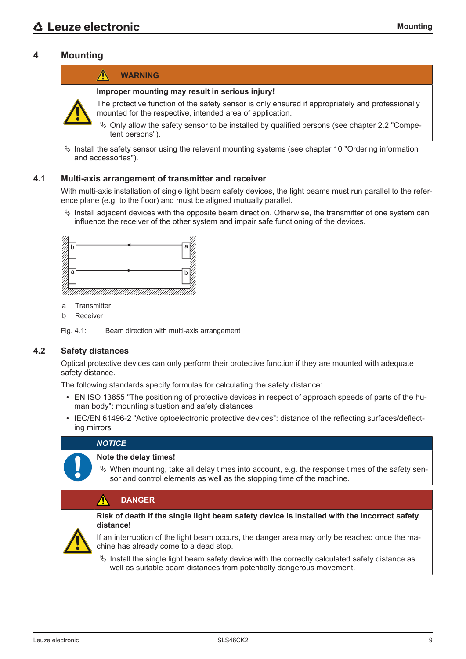# **4 Mounting**



 $\%$  Install the safety sensor using the relevant mounting systems (see chapter 10 "Ordering information and accessories").

#### **4.1 Multi-axis arrangement of transmitter and receiver**

With multi-axis installation of single light beam safety devices, the light beams must run parallel to the reference plane (e.g. to the floor) and must be aligned mutually parallel.

 $\%$  Install adjacent devices with the opposite beam direction. Otherwise, the transmitter of one system can influence the receiver of the other system and impair safe functioning of the devices.



- a Transmitter
- b Receiver

Fig. 4.1: Beam direction with multi-axis arrangement

### **4.2 Safety distances**

Optical protective devices can only perform their protective function if they are mounted with adequate safety distance.

The following standards specify formulas for calculating the safety distance:

- EN ISO 13855 "The positioning of protective devices in respect of approach speeds of parts of the human body": mounting situation and safety distances
- IEC/EN 61496-2 "Active optoelectronic protective devices": distance of the reflecting surfaces/deflecting mirrors

### *NOTICE*

#### **Note the delay times!**

 $\&$  When mounting, take all delay times into account, e.g. the response times of the safety sensor and control elements as well as the stopping time of the machine.

| <b>DANGER</b>                                                                                                                                                             |
|---------------------------------------------------------------------------------------------------------------------------------------------------------------------------|
| Risk of death if the single light beam safety device is installed with the incorrect safety<br>distance!                                                                  |
| If an interruption of the light beam occurs, the danger area may only be reached once the ma-<br>chine has already come to a dead stop.                                   |
| $\%$ Install the single light beam safety device with the correctly calculated safety distance as<br>well as suitable beam distances from potentially dangerous movement. |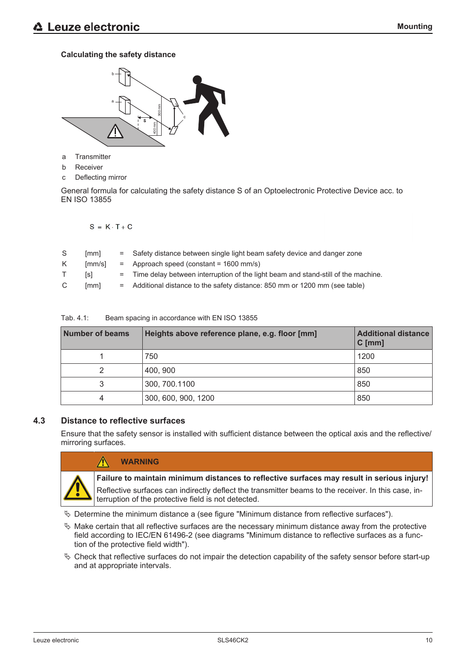### **Calculating the safety distance**



- a Transmitter
- b Receiver
- c Deflecting mirror

General formula for calculating the safety distance S of an Optoelectronic Protective Device acc. to EN ISO 13855

 $S = K \cdot T + C$ 

| S | [mm]   | = Safety distance between single light beam safety device and danger zone           |
|---|--------|-------------------------------------------------------------------------------------|
| K | [mm/s] | $=$ Approach speed (constant = 1600 mm/s)                                           |
|   | [s]    | = Time delay between interruption of the light beam and stand-still of the machine. |
| C | [mm]   | = Additional distance to the safety distance: 850 mm or 1200 mm (see table)         |

| <b>Number of beams</b> | Heights above reference plane, e.g. floor [mm] | <b>Additional distance</b><br>$C$ [mm] |
|------------------------|------------------------------------------------|----------------------------------------|
|                        | 750                                            | 1200                                   |
| 2                      | 400, 900                                       | 850                                    |
| 3                      | 300, 700.1100                                  | 850                                    |
| 4                      | 300, 600, 900, 1200                            | 850                                    |

Tab. 4.1: Beam spacing in accordance with EN ISO 13855

## **4.3 Distance to reflective surfaces**

 $\bigwedge$ 

Ensure that the safety sensor is installed with sufficient distance between the optical axis and the reflective/ mirroring surfaces.



## **WARNING**

**Failure to maintain minimum distances to reflective surfaces may result in serious injury!**

Reflective surfaces can indirectly deflect the transmitter beams to the receiver. In this case, interruption of the protective field is not detected.

 $\&$  Determine the minimum distance a (see figure "Minimum distance from reflective surfaces").

- $\%$  Make certain that all reflective surfaces are the necessary minimum distance away from the protective field according to IEC/EN 61496-2 (see diagrams "Minimum distance to reflective surfaces as a function of the protective field width").
- $\%$  Check that reflective surfaces do not impair the detection capability of the safety sensor before start-up and at appropriate intervals.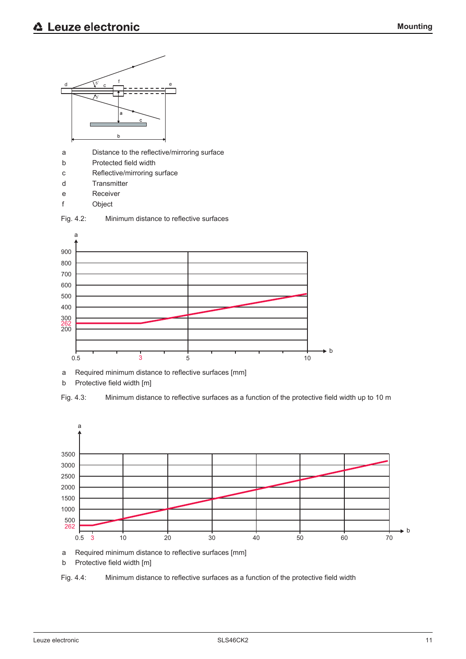

a Required minimum distance to reflective surfaces [mm]

b Protective field width [m]





a Required minimum distance to reflective surfaces [mm]

b Protective field width [m]

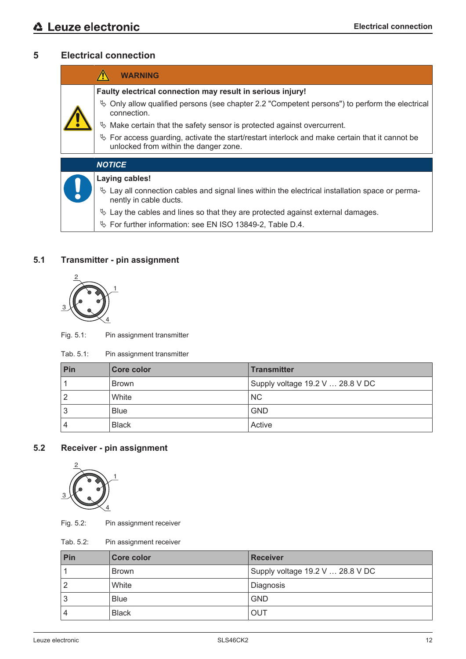# **5 Electrical connection**

|  | <b>WARNING</b>                                                                                                                             |
|--|--------------------------------------------------------------------------------------------------------------------------------------------|
|  | Faulty electrical connection may result in serious injury!                                                                                 |
|  | $\&$ Only allow qualified persons (see chapter 2.2 "Competent persons") to perform the electrical<br>connection.                           |
|  | $\%$ Make certain that the safety sensor is protected against overcurrent.                                                                 |
|  | $\%$ For access guarding, activate the start/restart interlock and make certain that it cannot be<br>unlocked from within the danger zone. |
|  | <b>NOTICE</b>                                                                                                                              |
|  | <b>Laying cables!</b>                                                                                                                      |
|  | $\&$ Lay all connection cables and signal lines within the electrical installation space or perma-<br>nently in cable ducts.               |

- $\%$  Lay the cables and lines so that they are protected against external damages.
- Ä For further information: see EN ISO 13849-2, Table D.4.

# **5.1 Transmitter - pin assignment**



Fig. 5.1: Pin assignment transmitter

| Tab. 5.1:<br>Pin assignment transmitter |  |
|-----------------------------------------|--|
|-----------------------------------------|--|

| Pin | <b>Core color</b> | <b>Transmitter</b>               |
|-----|-------------------|----------------------------------|
|     | <b>Brown</b>      | Supply voltage 19.2 V  28.8 V DC |
|     | White             | <b>NC</b>                        |
| 3   | <b>Blue</b>       | <b>GND</b>                       |
|     | <b>Black</b>      | Active                           |

# **5.2 Receiver - pin assignment**



Fig. 5.2: Pin assignment receiver

Tab. 5.2: Pin assignment receiver

| Pin | Core color   | <b>Receiver</b>                  |
|-----|--------------|----------------------------------|
|     | <b>Brown</b> | Supply voltage 19.2 V  28.8 V DC |
|     | White        | Diagnosis                        |
| ر،  | <b>Blue</b>  | <b>GND</b>                       |
|     | <b>Black</b> | OUT                              |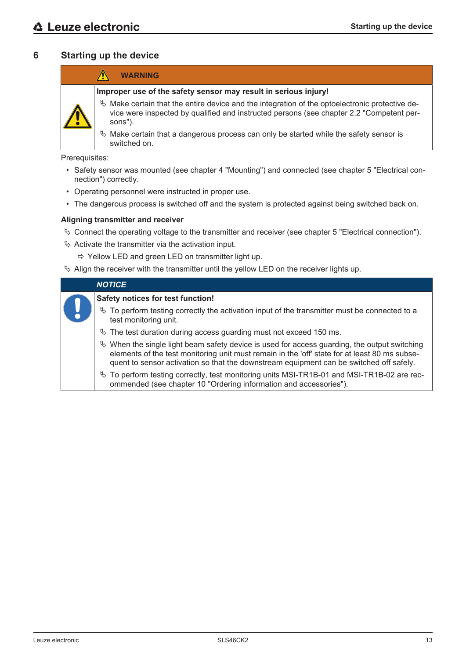# **6 Starting up the device**

|   | <b>WARNING</b>                                                                                                                                                                                           |
|---|----------------------------------------------------------------------------------------------------------------------------------------------------------------------------------------------------------|
|   | Improper use of the safety sensor may result in serious injury!                                                                                                                                          |
| A | $\&$ Make certain that the entire device and the integration of the optoelectronic protective de-<br>vice were inspected by qualified and instructed persons (see chapter 2.2 "Competent per-<br>sons"). |
|   | $\&$ Make certain that a dangerous process can only be started while the safety sensor is<br>switched on.                                                                                                |

Prerequisites:

- Safety sensor was mounted (see chapter 4 "Mounting") and connected (see chapter 5 "Electrical connection") correctly.
- Operating personnel were instructed in proper use.
- The dangerous process is switched off and the system is protected against being switched back on.

#### **Aligning transmitter and receiver**

- $\%$  Connect the operating voltage to the transmitter and receiver (see chapter 5 "Electrical connection").
- $\&$  Activate the transmitter via the activation input.
	- $\Rightarrow$  Yellow LED and green LED on transmitter light up.
- $\%$  Align the receiver with the transmitter until the yellow LED on the receiver lights up.

| <b>NOTICE</b>                                                                                                                                                                                                                                                                               |  |
|---------------------------------------------------------------------------------------------------------------------------------------------------------------------------------------------------------------------------------------------------------------------------------------------|--|
| Safety notices for test function!                                                                                                                                                                                                                                                           |  |
| $\%$ To perform testing correctly the activation input of the transmitter must be connected to a<br>test monitoring unit.                                                                                                                                                                   |  |
| $\%$ The test duration during access guarding must not exceed 150 ms.                                                                                                                                                                                                                       |  |
| $\&$ When the single light beam safety device is used for access guarding, the output switching<br>elements of the test monitoring unit must remain in the 'off' state for at least 80 ms subse-<br>quent to sensor activation so that the downstream equipment can be switched off safely. |  |
| $\%$ To perform testing correctly, test monitoring units MSI-TR1B-01 and MSI-TR1B-02 are rec-<br>ommended (see chapter 10 "Ordering information and accessories").                                                                                                                          |  |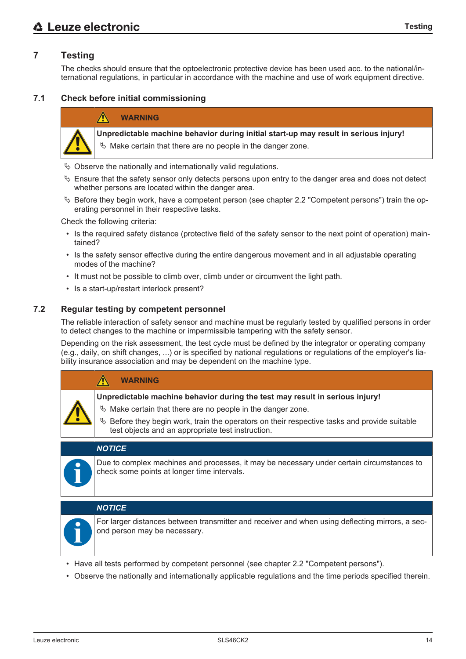# **7 Testing**

The checks should ensure that the optoelectronic protective device has been used acc. to the national/international regulations, in particular in accordance with the machine and use of work equipment directive.

#### **7.1 Check before initial commissioning**

#### **WARNING**



**Unpredictable machine behavior during initial start-up may result in serious injury!**

- $\%$  Make certain that there are no people in the danger zone.
- $\%$  Observe the nationally and internationally valid regulations.
- $\&$  Ensure that the safety sensor only detects persons upon entry to the danger area and does not detect whether persons are located within the danger area.
- $\%$  Before they begin work, have a competent person (see chapter 2.2 "Competent persons") train the operating personnel in their respective tasks.

Check the following criteria:

- Is the required safety distance (protective field of the safety sensor to the next point of operation) maintained?
- Is the safety sensor effective during the entire dangerous movement and in all adjustable operating modes of the machine?
- It must not be possible to climb over, climb under or circumvent the light path.
- Is a start-up/restart interlock present?

#### **7.2 Regular testing by competent personnel**

The reliable interaction of safety sensor and machine must be regularly tested by qualified persons in order to detect changes to the machine or impermissible tampering with the safety sensor.

Depending on the risk assessment, the test cycle must be defined by the integrator or operating company (e.g., daily, on shift changes, ...) or is specified by national regulations or regulations of the employer's liability insurance association and may be dependent on the machine type.

| <b>WARNING</b>                                                                                                                                       |
|------------------------------------------------------------------------------------------------------------------------------------------------------|
| Unpredictable machine behavior during the test may result in serious injury!                                                                         |
| $\%$ Make certain that there are no people in the danger zone.                                                                                       |
| $\%$ Before they begin work, train the operators on their respective tasks and provide suitable<br>test objects and an appropriate test instruction. |
|                                                                                                                                                      |
|                                                                                                                                                      |

#### *NOTICE*

Due to complex machines and processes, it may be necessary under certain circumstances to check some points at longer time intervals.

#### *NOTICE*



For larger distances between transmitter and receiver and when using deflecting mirrors, a second person may be necessary.

- Have all tests performed by competent personnel (see chapter 2.2 "Competent persons").
- Observe the nationally and internationally applicable regulations and the time periods specified therein.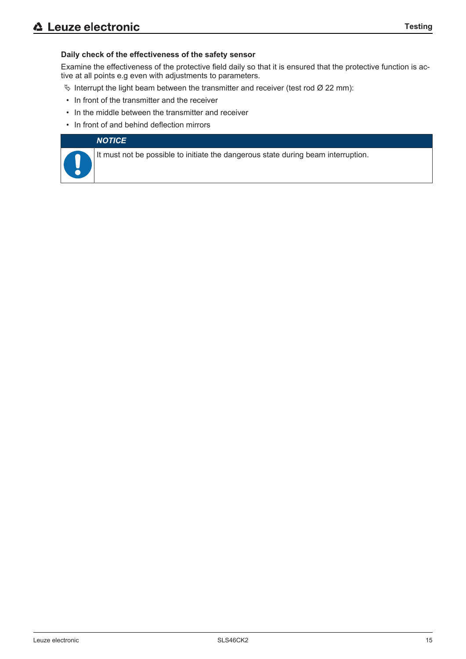#### **Daily check of the effectiveness of the safety sensor**

Examine the effectiveness of the protective field daily so that it is ensured that the protective function is active at all points e.g even with adjustments to parameters.

- $\%$  Interrupt the light beam between the transmitter and receiver (test rod Ø 22 mm):
- In front of the transmitter and the receiver
- In the middle between the transmitter and receiver
- In front of and behind deflection mirrors

#### *NOTICE*

It must not be possible to initiate the dangerous state during beam interruption.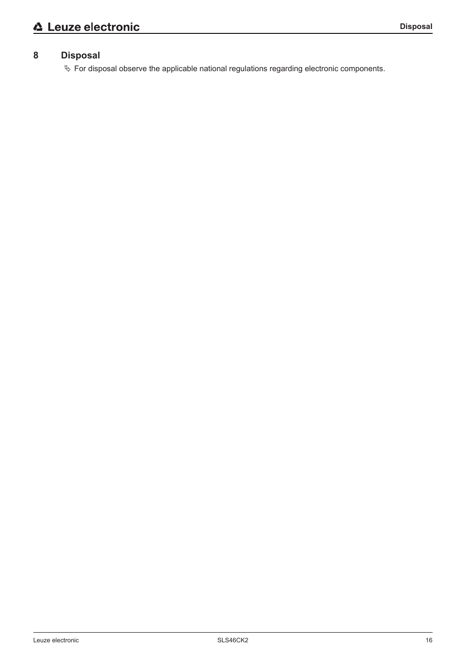# **8 Disposal**

Ä For disposal observe the applicable national regulations regarding electronic components.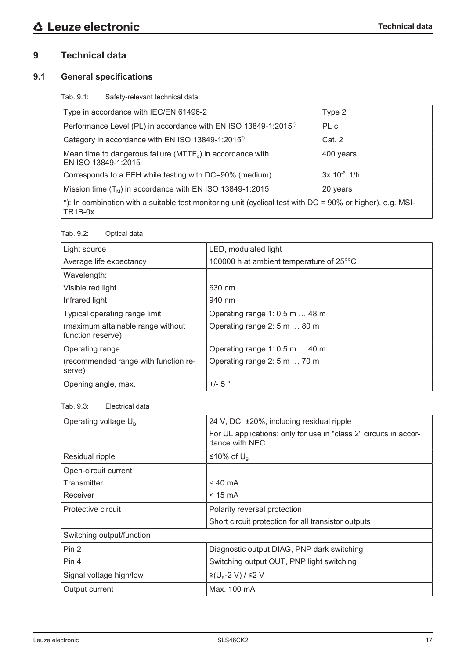# **9 Technical data**

# **9.1 General specifications**

Tab. 9.1: Safety-relevant technical data

| Type in accordance with IEC/EN 61496-2                                                                                             | Type 2           |
|------------------------------------------------------------------------------------------------------------------------------------|------------------|
| Performance Level (PL) in accordance with EN ISO 13849-1:2015 <sup>*</sup>                                                         | PL c             |
| Category in accordance with EN ISO 13849-1:2015 <sup>*</sup>                                                                       | Cat. 2           |
| Mean time to dangerous failure ( $MTTF_d$ ) in accordance with<br>EN ISO 13849-1:2015                                              | 400 years        |
| Corresponds to a PFH while testing with DC=90% (medium)                                                                            | $3x 10^{-6}$ 1/h |
| Mission time $(T_M)$ in accordance with EN ISO 13849-1:2015                                                                        | 20 years         |
| *): In combination with a suitable test monitoring unit (cyclical test with DC = 90% or higher), e.g. MSI-<br>TR <sub>1</sub> B-0x |                  |

#### Tab. 9.2: Optical data

| Light source                                           | LED, modulated light                     |
|--------------------------------------------------------|------------------------------------------|
| Average life expectancy                                | 100000 h at ambient temperature of 25°°C |
| Wavelength:                                            |                                          |
| Visible red light                                      | 630 nm                                   |
| Infrared light                                         | 940 nm                                   |
| Typical operating range limit                          | Operating range 1: 0.5 m  48 m           |
| (maximum attainable range without<br>function reserve) | Operating range 2: 5 m  80 m             |
| Operating range                                        | Operating range 1: 0.5 m  40 m           |
| (recommended range with function re-<br>serve)         | Operating range 2: 5 m  70 m             |
| Opening angle, max.                                    | $+/-$ 5 $^{\circ}$                       |

#### Tab. 9.3: Electrical data

| Operating voltage $U_{B}$ | 24 V, DC, ±20%, including residual ripple                                            |
|---------------------------|--------------------------------------------------------------------------------------|
|                           | For UL applications: only for use in "class 2" circuits in accor-<br>dance with NEC. |
| Residual ripple           | ≤10% of $U_{\text{B}}$                                                               |
| Open-circuit current      |                                                                                      |
| Transmitter               | $< 40 \text{ mA}$                                                                    |
| Receiver                  | $< 15 \text{ mA}$                                                                    |
| Protective circuit        | Polarity reversal protection                                                         |
|                           | Short circuit protection for all transistor outputs                                  |
| Switching output/function |                                                                                      |
| Pin 2                     | Diagnostic output DIAG, PNP dark switching                                           |
| Pin 4                     | Switching output OUT, PNP light switching                                            |
| Signal voltage high/low   | ≥(U <sub>B</sub> -2 V) / ≤2 V                                                        |
| Output current            | Max. 100 mA                                                                          |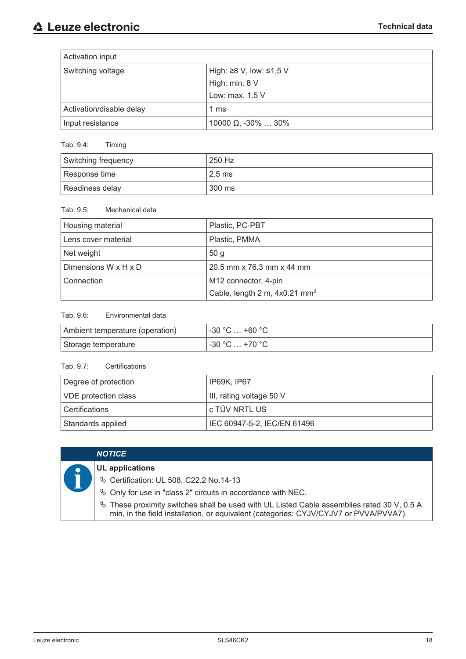| Activation input         |                                     |
|--------------------------|-------------------------------------|
| Switching voltage        | High: $\geq$ 8 V, low: $\leq$ 1,5 V |
|                          | High: min. 8 V                      |
|                          | Low: max. 1.5 V                     |
| Activation/disable delay | 1 ms                                |
| Input resistance         | 10000 $\Omega$ , -30% $\ldots$ 30%  |

# Tab. 9.4: Timing

| Switching frequency | 250 Hz                       |
|---------------------|------------------------------|
| Response time       | $^{\circ}$ 2.5 ms $^{\circ}$ |
| Readiness delay     | 300 ms                       |

#### Tab. 9.5: Mechanical data

| Housing material     | Plastic, PC-PBT                           |
|----------------------|-------------------------------------------|
| Lens cover material  | Plastic, PMMA                             |
| Net weight           | 50 <sub>g</sub>                           |
| Dimensions W x H x D | 20.5 mm x 76.3 mm x 44 mm                 |
| Connection           | M12 connector, 4-pin                      |
|                      | Cable, length 2 m, 4x0.21 mm <sup>2</sup> |

# Tab. 9.6: Environmental data

| Ambient temperature (operation) | ⊣ -30 °C … +60 °C ։           |
|---------------------------------|-------------------------------|
| Storage temperature             | $\sim$ -30 °C $\ldots$ +70 °C |

### Tab. 9.7: Certifications

| Degree of protection        | ' IP69K, IP67               |
|-----------------------------|-----------------------------|
| <b>VDE</b> protection class | III, rating voltage 50 V    |
| Certifications              | l c TÜV NRTL US             |
| Standards applied           | IEC 60947-5-2, IEC/EN 61496 |

| <b>NOTICE</b>                                                                                                                                                                          |
|----------------------------------------------------------------------------------------------------------------------------------------------------------------------------------------|
| <b>UL</b> applications                                                                                                                                                                 |
| <b>V</b> Certification: UL 508, C22.2 No.14-13                                                                                                                                         |
| ♦ Only for use in "class 2" circuits in accordance with NEC.                                                                                                                           |
| $\%$ These proximity switches shall be used with UL Listed Cable assemblies rated 30 V, 0.5 A<br>min, in the field installation, or equivalent (categories: CYJV/CYJV7 or PVVA/PVVA7). |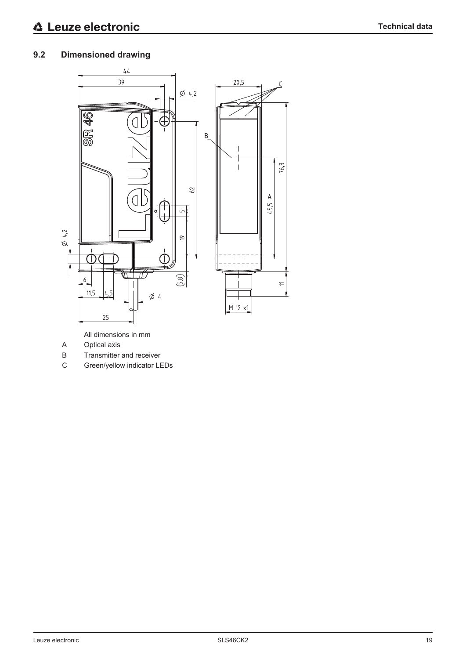# **9.2 Dimensioned drawing**



All dimensions in mm

- A Optical axis
- B Transmitter and receiver
- C Green/yellow indicator LEDs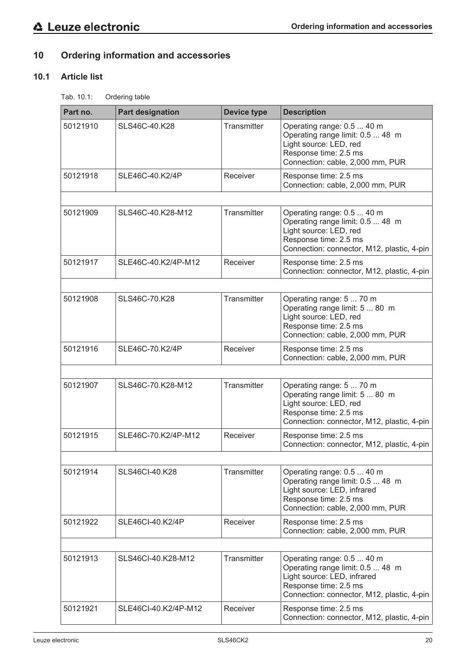# **10 Ordering information and accessories**

# **10.1 Article list**

Tab. 10.1: Ordering table

| Part no. | <b>Part designation</b> | <b>Device type</b> | <b>Description</b>                                                                                                                                                   |
|----------|-------------------------|--------------------|----------------------------------------------------------------------------------------------------------------------------------------------------------------------|
| 50121910 | SLS46C-40.K28           | Transmitter        | Operating range: 0.5  40 m<br>Operating range limit: 0.5  48 m<br>Light source: LED, red<br>Response time: 2.5 ms<br>Connection: cable, 2,000 mm, PUR                |
| 50121918 | SLE46C-40.K2/4P         | Receiver           | Response time: 2.5 ms<br>Connection: cable, 2,000 mm, PUR                                                                                                            |
|          |                         |                    |                                                                                                                                                                      |
| 50121909 | SLS46C-40.K28-M12       | Transmitter        | Operating range: 0.5  40 m<br>Operating range limit: 0.5  48 m<br>Light source: LED, red<br>Response time: 2.5 ms<br>Connection: connector, M12, plastic, 4-pin      |
| 50121917 | SLE46C-40.K2/4P-M12     | Receiver           | Response time: 2.5 ms<br>Connection: connector, M12, plastic, 4-pin                                                                                                  |
|          |                         |                    |                                                                                                                                                                      |
| 50121908 | SLS46C-70.K28           | Transmitter        | Operating range: 5  70 m<br>Operating range limit: 5  80 m<br>Light source: LED, red<br>Response time: 2.5 ms<br>Connection: cable, 2,000 mm, PUR                    |
| 50121916 | SLE46C-70.K2/4P         | Receiver           | Response time: 2.5 ms<br>Connection: cable, 2,000 mm, PUR                                                                                                            |
|          |                         |                    |                                                                                                                                                                      |
| 50121907 | SLS46C-70.K28-M12       | Transmitter        | Operating range: 5  70 m<br>Operating range limit: 5  80 m<br>Light source: LED, red<br>Response time: 2.5 ms<br>Connection: connector, M12, plastic, 4-pin          |
| 50121915 | SLE46C-70.K2/4P-M12     | Receiver           | Response time: 2.5 ms<br>Connection: connector, M12, plastic, 4-pin                                                                                                  |
|          |                         |                    |                                                                                                                                                                      |
| 50121914 | SLS46CI-40.K28          | Transmitter        | Operating range: 0.5  40 m<br>Operating range limit: 0.5  48 m<br>Light source: LED, infrared<br>Response time: 2.5 ms<br>Connection: cable, 2,000 mm, PUR           |
| 50121922 | SLE46CI-40.K2/4P        | Receiver           | Response time: 2.5 ms<br>Connection: cable, 2,000 mm, PUR                                                                                                            |
|          |                         |                    |                                                                                                                                                                      |
| 50121913 | SLS46Cl-40.K28-M12      | Transmitter        | Operating range: 0.5  40 m<br>Operating range limit: 0.5  48 m<br>Light source: LED, infrared<br>Response time: 2.5 ms<br>Connection: connector, M12, plastic, 4-pin |
| 50121921 | SLE46CI-40.K2/4P-M12    | Receiver           | Response time: 2.5 ms<br>Connection: connector, M12, plastic, 4-pin                                                                                                  |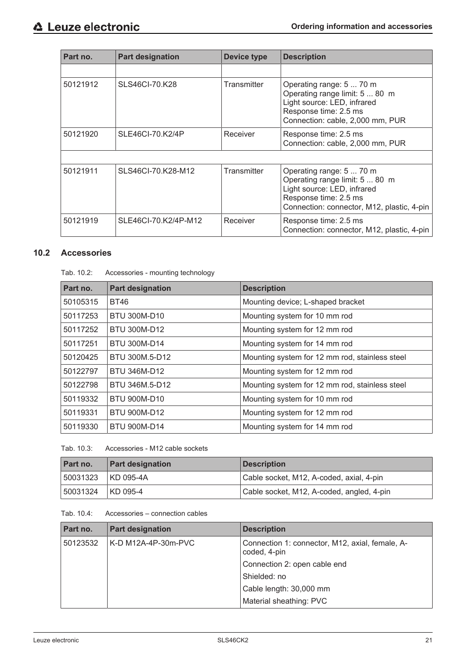| Part no. | <b>Part designation</b> | Device type        | <b>Description</b>                                                                                                                                               |
|----------|-------------------------|--------------------|------------------------------------------------------------------------------------------------------------------------------------------------------------------|
|          |                         |                    |                                                                                                                                                                  |
| 50121912 | SLS46CI-70.K28          | <b>Transmitter</b> | Operating range: 5  70 m<br>Operating range limit: 5  80 m<br>Light source: LED, infrared<br>Response time: 2.5 ms<br>Connection: cable, 2,000 mm, PUR           |
| 50121920 | SLE46CI-70.K2/4P        | Receiver           | Response time: 2.5 ms<br>Connection: cable, 2,000 mm, PUR                                                                                                        |
|          |                         |                    |                                                                                                                                                                  |
| 50121911 | SLS46CI-70.K28-M12      | Transmitter        | Operating range: 5  70 m<br>Operating range limit: 5  80 m<br>Light source: LED, infrared<br>Response time: 2.5 ms<br>Connection: connector, M12, plastic, 4-pin |
| 50121919 | SLE46CI-70.K2/4P-M12    | Receiver           | Response time: 2.5 ms<br>Connection: connector, M12, plastic, 4-pin                                                                                              |

# **10.2 Accessories**

| Part no. | <b>Part designation</b> | <b>Description</b>                             |
|----------|-------------------------|------------------------------------------------|
| 50105315 | <b>BT46</b>             | Mounting device; L-shaped bracket              |
| 50117253 | <b>BTU 300M-D10</b>     | Mounting system for 10 mm rod                  |
| 50117252 | BTU 300M-D12            | Mounting system for 12 mm rod                  |
| 50117251 | <b>BTU 300M-D14</b>     | Mounting system for 14 mm rod                  |
| 50120425 | BTU 300M.5-D12          | Mounting system for 12 mm rod, stainless steel |
| 50122797 | BTU 346M-D12            | Mounting system for 12 mm rod                  |
| 50122798 | BTU 346M.5-D12          | Mounting system for 12 mm rod, stainless steel |
| 50119332 | <b>BTU 900M-D10</b>     | Mounting system for 10 mm rod                  |
| 50119331 | <b>BTU 900M-D12</b>     | Mounting system for 12 mm rod                  |
| 50119330 | <b>BTU 900M-D14</b>     | Mounting system for 14 mm rod                  |

|  | Tab. 10.3: | Accessories - M12 cable sockets |
|--|------------|---------------------------------|
|--|------------|---------------------------------|

| Part no. | <b>Part designation</b> | <b>Description</b>                        |
|----------|-------------------------|-------------------------------------------|
| 50031323 | KD 095-4A               | Cable socket, M12, A-coded, axial, 4-pin  |
| 50031324 | KD 095-4                | Cable socket, M12, A-coded, angled, 4-pin |

Tab. 10.4: Accessories – connection cables

| Part no. | <b>Part designation</b> | <b>Description</b>                                              |
|----------|-------------------------|-----------------------------------------------------------------|
| 50123532 | K-D M12A-4P-30m-PVC     | Connection 1: connector, M12, axial, female, A-<br>coded, 4-pin |
|          |                         | Connection 2: open cable end                                    |
|          |                         | Shielded: no                                                    |
|          |                         | Cable length: 30,000 mm                                         |
|          |                         | Material sheathing: PVC                                         |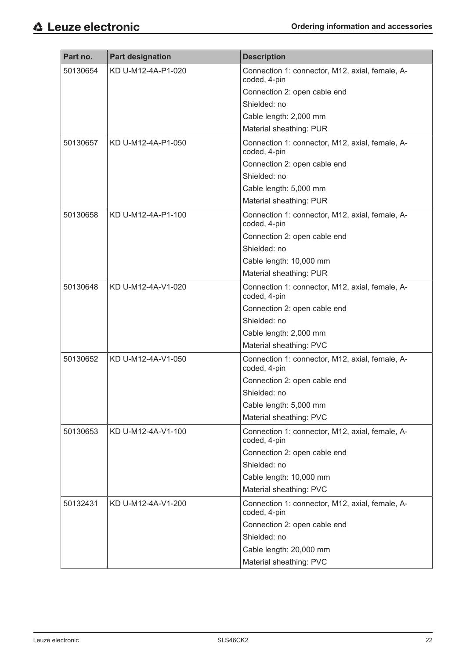| Part no. | <b>Part designation</b> | <b>Description</b>                                              |
|----------|-------------------------|-----------------------------------------------------------------|
| 50130654 | KD U-M12-4A-P1-020      | Connection 1: connector, M12, axial, female, A-<br>coded, 4-pin |
|          |                         | Connection 2: open cable end                                    |
|          |                         | Shielded: no                                                    |
|          |                         | Cable length: 2,000 mm                                          |
|          |                         | Material sheathing: PUR                                         |
| 50130657 | KD U-M12-4A-P1-050      | Connection 1: connector, M12, axial, female, A-<br>coded, 4-pin |
|          |                         | Connection 2: open cable end                                    |
|          |                         | Shielded: no                                                    |
|          |                         | Cable length: 5,000 mm                                          |
|          |                         | Material sheathing: PUR                                         |
| 50130658 | KD U-M12-4A-P1-100      | Connection 1: connector, M12, axial, female, A-<br>coded, 4-pin |
|          |                         | Connection 2: open cable end                                    |
|          |                         | Shielded: no                                                    |
|          |                         | Cable length: 10,000 mm                                         |
|          |                         | Material sheathing: PUR                                         |
| 50130648 | KD U-M12-4A-V1-020      | Connection 1: connector, M12, axial, female, A-<br>coded, 4-pin |
|          |                         | Connection 2: open cable end                                    |
|          |                         | Shielded: no                                                    |
|          |                         | Cable length: 2,000 mm                                          |
|          |                         | Material sheathing: PVC                                         |
| 50130652 | KD U-M12-4A-V1-050      | Connection 1: connector, M12, axial, female, A-<br>coded, 4-pin |
|          |                         | Connection 2: open cable end                                    |
|          |                         | Shielded: no                                                    |
|          |                         | Cable length: 5,000 mm                                          |
|          |                         | Material sheathing: PVC                                         |
| 50130653 | KD U-M12-4A-V1-100      | Connection 1: connector, M12, axial, female, A-<br>coded, 4-pin |
|          |                         | Connection 2: open cable end                                    |
|          |                         | Shielded: no                                                    |
|          |                         | Cable length: 10,000 mm                                         |
|          |                         | Material sheathing: PVC                                         |
| 50132431 | KD U-M12-4A-V1-200      | Connection 1: connector, M12, axial, female, A-<br>coded, 4-pin |
|          |                         | Connection 2: open cable end                                    |
|          |                         | Shielded: no                                                    |
|          |                         | Cable length: 20,000 mm                                         |
|          |                         | Material sheathing: PVC                                         |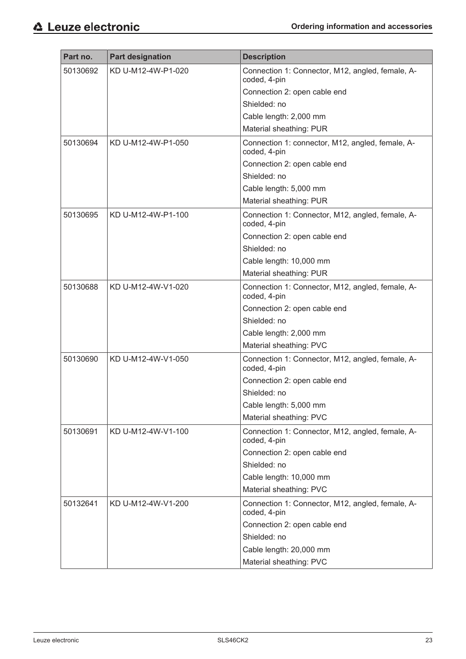| Part no. | <b>Part designation</b> | <b>Description</b>                                               |
|----------|-------------------------|------------------------------------------------------------------|
| 50130692 | KD U-M12-4W-P1-020      | Connection 1: Connector, M12, angled, female, A-                 |
|          |                         | coded, 4-pin                                                     |
|          |                         | Connection 2: open cable end                                     |
|          |                         | Shielded: no                                                     |
|          |                         | Cable length: 2,000 mm                                           |
|          |                         | Material sheathing: PUR                                          |
| 50130694 | KD U-M12-4W-P1-050      | Connection 1: connector, M12, angled, female, A-<br>coded, 4-pin |
|          |                         | Connection 2: open cable end                                     |
|          |                         | Shielded: no                                                     |
|          |                         | Cable length: 5,000 mm                                           |
|          |                         | Material sheathing: PUR                                          |
| 50130695 | KD U-M12-4W-P1-100      | Connection 1: Connector, M12, angled, female, A-<br>coded, 4-pin |
|          |                         | Connection 2: open cable end                                     |
|          |                         | Shielded: no                                                     |
|          |                         | Cable length: 10,000 mm                                          |
|          |                         | Material sheathing: PUR                                          |
| 50130688 | KD U-M12-4W-V1-020      | Connection 1: Connector, M12, angled, female, A-<br>coded, 4-pin |
|          |                         | Connection 2: open cable end                                     |
|          |                         | Shielded: no                                                     |
|          |                         | Cable length: 2,000 mm                                           |
|          |                         | Material sheathing: PVC                                          |
| 50130690 | KD U-M12-4W-V1-050      | Connection 1: Connector, M12, angled, female, A-<br>coded, 4-pin |
|          |                         | Connection 2: open cable end                                     |
|          |                         | Shielded: no                                                     |
|          |                         | Cable length: 5,000 mm                                           |
|          |                         | Material sheathing: PVC                                          |
| 50130691 | KD U-M12-4W-V1-100      | Connection 1: Connector, M12, angled, female, A-<br>coded, 4-pin |
|          |                         | Connection 2: open cable end                                     |
|          |                         | Shielded: no                                                     |
|          |                         | Cable length: 10,000 mm                                          |
|          |                         | Material sheathing: PVC                                          |
| 50132641 | KD U-M12-4W-V1-200      | Connection 1: Connector, M12, angled, female, A-                 |
|          |                         | coded, 4-pin                                                     |
|          |                         | Connection 2: open cable end                                     |
|          |                         | Shielded: no                                                     |
|          |                         | Cable length: 20,000 mm                                          |
|          |                         | Material sheathing: PVC                                          |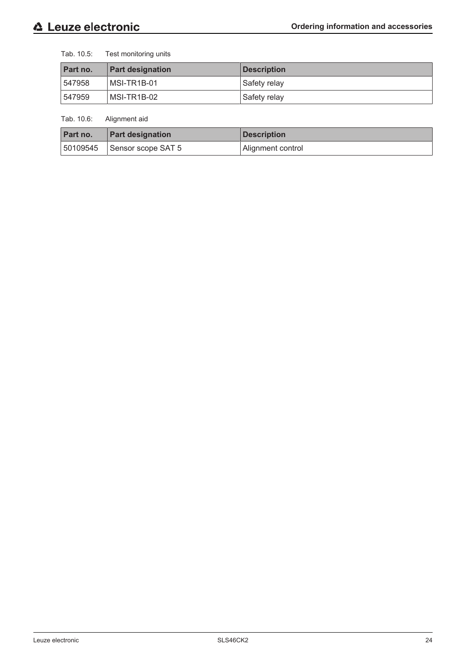Tab. 10.5: Test monitoring units

| Part no. | <b>Part designation</b> | <b>Description</b> |
|----------|-------------------------|--------------------|
| 547958   | MSI-TR1B-01             | Safety relay       |
| 547959   | MSI-TR1B-02             | Safety relay       |

Tab. 10.6: Alignment aid

| Part no. | <b>Part designation</b>         | <b>Description</b> |
|----------|---------------------------------|--------------------|
|          | $ 50109545 $ Sensor scope SAT 5 | Alignment control  |